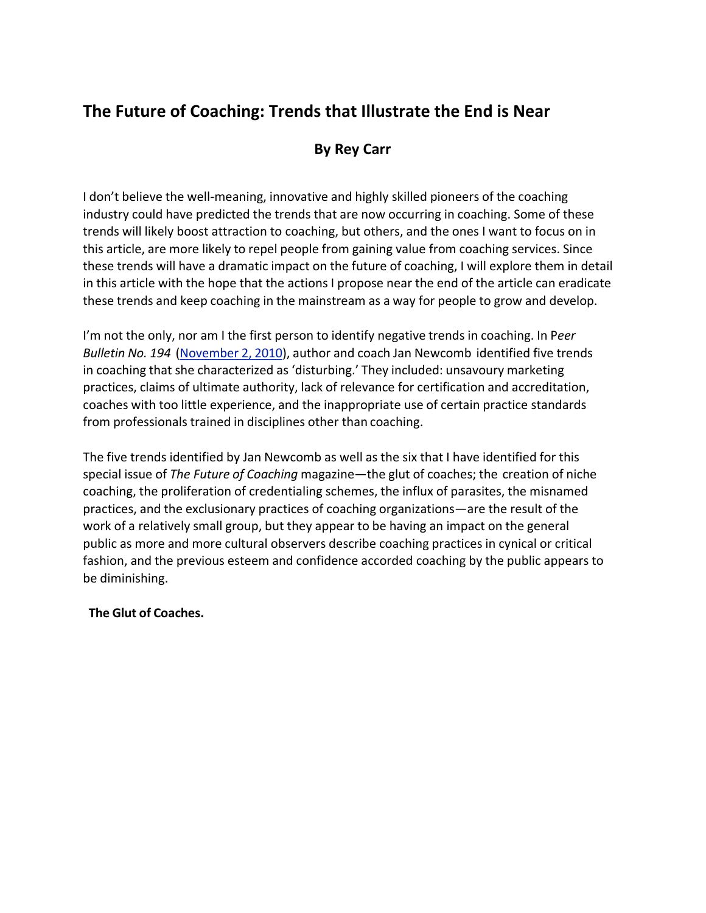# **The Future of Coaching: Trends that Illustrate the End is Near**

## **By Rey Carr**

I don't believe the well-meaning, innovative and highly skilled pioneers of the coaching industry could have predicted the trends that are now occurring in coaching. Some of these trends will likely boost attraction to coaching, but others, and the ones I want to focus on in this article, are more likely to repel people from gaining value from coaching services. Since these trends will have a dramatic impact on the future of coaching, I will explore them in detail in this article with the hope that the actions I propose near the end of the article can eradicate these trends and keep coaching in the mainstream as a way for people to grow and develop.

I'm not the only, nor am I the first person to identify negative trends in coaching. In P*eer Bulletin No. 194* (November 2, 2010), author and coach Jan Newcomb identified five trends in coaching that she characterized as 'disturbing.' They included: unsavoury marketing practices, claims of ultimate authority, lack of relevance for certification and accreditation, coaches with too little experience, and the inappropriate use of certain practice standards from professionals trained in disciplines other than coaching.

The five trends identified by Jan Newcomb as well as the six that I have identified for this special issue of *The Future of Coaching* magazine—the glut of coaches; the creation of niche coaching, the proliferation of credentialing schemes, the influx of parasites, the misnamed practices, and the exclusionary practices of coaching organizations—are the result of the work of a relatively small group, but they appear to be having an impact on the general public as more and more cultural observers describe coaching practices in cynical or critical fashion, and the previous esteem and confidence accorded coaching by the public appears to be diminishing.

## **The Glut of Coaches.**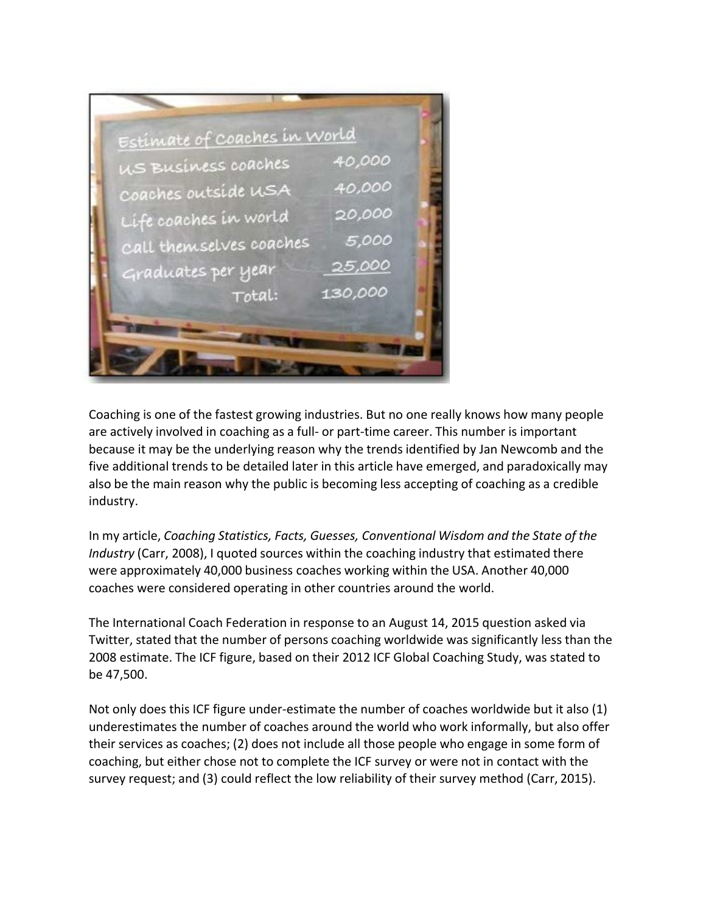

Coaching is one of the fastest growing industries. But no one really knows how many people are actively involved in coaching as a full- or part-time career. This number is important because it may be the underlying reason why the trends identified by Jan Newcomb and the five additional trends to be detailed later in this article have emerged, and paradoxically may also be the main reason why the public is becoming less accepting of coaching as a credible industry.

In my article, *Coaching Statistics, Facts, Guesses, Conventional Wisdom and the State of the Industry* (Carr, 2008), I quoted sources within the coaching industry that estimated there were approximately 40,000 business coaches working within the USA. Another 40,000 coaches were considered operating in other countries around the world.

The International Coach Federation in response to an August 14, 2015 question asked via Twitter, stated that the number of persons coaching worldwide was significantly less than the 2008 estimate. The ICF figure, based on their 2012 ICF Global Coaching Study, was stated to be 47,500.

Not only does this ICF figure under-estimate the number of coaches worldwide but it also (1) underestimates the number of coaches around the world who work informally, but also offer their services as coaches; (2) does not include all those people who engage in some form of coaching, but either chose not to complete the ICF survey or were not in contact with the survey request; and (3) could reflect the low reliability of their survey method (Carr, 2015).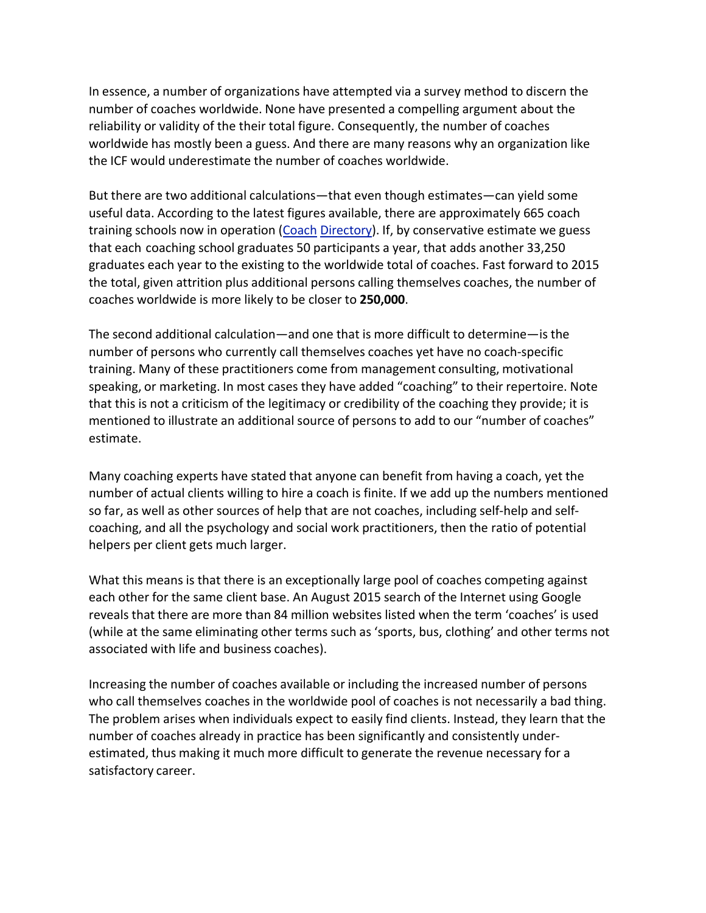In essence, a number of organizations have attempted via a survey method to discern the number of coaches worldwide. None have presented a compelling argument about the reliability or validity of the their total figure. Consequently, the number of coaches worldwide has mostly been a guess. And there are many reasons why an organization like the ICF would underestimate the number of coaches worldwide.

But there are two additional calculations—that even though estimates—can yield some useful data. According to the latest figures available, there are approximately 665 coach training schools now in operation (Coach Directory). If, by conservative estimate we guess that each coaching school graduates 50 participants a year, that adds another 33,250 graduates each year to the existing to the worldwide total of coaches. Fast forward to 2015 the total, given attrition plus additional persons calling themselves coaches, the number of coaches worldwide is more likely to be closer to **250,000**.

The second additional calculation—and one that is more difficult to determine—is the number of persons who currently call themselves coaches yet have no coach-specific training. Many of these practitioners come from management consulting, motivational speaking, or marketing. In most cases they have added "coaching" to their repertoire. Note that this is not a criticism of the legitimacy or credibility of the coaching they provide; it is mentioned to illustrate an additional source of persons to add to our "number of coaches" estimate.

Many coaching experts have stated that anyone can benefit from having a coach, yet the number of actual clients willing to hire a coach is finite. If we add up the numbers mentioned so far, as well as other sources of help that are not coaches, including self-help and selfcoaching, and all the psychology and social work practitioners, then the ratio of potential helpers per client gets much larger.

What this means is that there is an exceptionally large pool of coaches competing against each other for the same client base. An August 2015 search of the Internet using Google reveals that there are more than 84 million websites listed when the term 'coaches' is used (while at the same eliminating other terms such as 'sports, bus, clothing' and other terms not associated with life and business coaches).

Increasing the number of coaches available or including the increased number of persons who call themselves coaches in the worldwide pool of coaches is not necessarily a bad thing. The problem arises when individuals expect to easily find clients. Instead, they learn that the number of coaches already in practice has been significantly and consistently underestimated, thus making it much more difficult to generate the revenue necessary for a satisfactory career.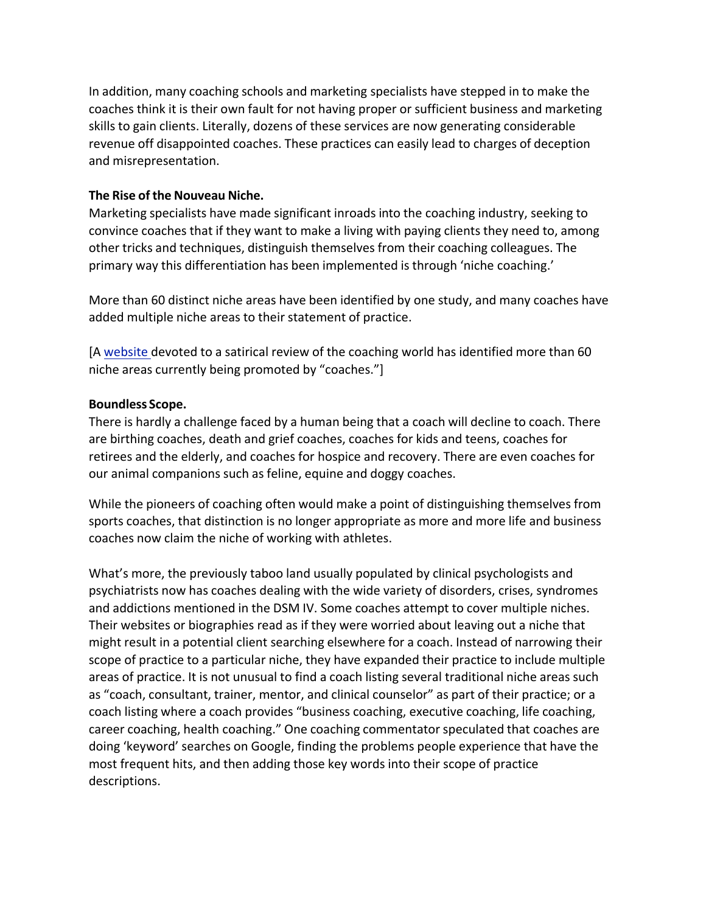In addition, many coaching schools and marketing specialists have stepped in to make the coaches think it is their own fault for not having proper or sufficient business and marketing skills to gain clients. Literally, dozens of these services are now generating considerable revenue off disappointed coaches. These practices can easily lead to charges of deception and misrepresentation.

#### **The Rise of the Nouveau Niche.**

Marketing specialists have made significant inroads into the coaching industry, seeking to convince coaches that if they want to make a living with paying clients they need to, among other tricks and techniques, distinguish themselves from their coaching colleagues. The primary way this differentiation has been implemented is through 'niche coaching.'

More than 60 distinct niche areas have been identified by one study, and many coaches have added multiple niche areas to their statement of practice.

[A website devoted to a satirical review of the coaching world has identified more than 60 niche areas currently being promoted by "coaches."]

#### **Boundless Scope.**

There is hardly a challenge faced by a human being that a coach will decline to coach. There are birthing coaches, death and grief coaches, coaches for kids and teens, coaches for retirees and the elderly, and coaches for hospice and recovery. There are even coaches for our animal companions such as feline, equine and doggy coaches.

While the pioneers of coaching often would make a point of distinguishing themselves from sports coaches, that distinction is no longer appropriate as more and more life and business coaches now claim the niche of working with athletes.

What's more, the previously taboo land usually populated by clinical psychologists and psychiatrists now has coaches dealing with the wide variety of disorders, crises, syndromes and addictions mentioned in the DSM IV. Some coaches attempt to cover multiple niches. Their websites or biographies read as if they were worried about leaving out a niche that might result in a potential client searching elsewhere for a coach. Instead of narrowing their scope of practice to a particular niche, they have expanded their practice to include multiple areas of practice. It is not unusual to find a coach listing several traditional niche areas such as "coach, consultant, trainer, mentor, and clinical counselor" as part of their practice; or a coach listing where a coach provides "business coaching, executive coaching, life coaching, career coaching, health coaching." One coaching commentator speculated that coaches are doing 'keyword' searches on Google, finding the problems people experience that have the most frequent hits, and then adding those key words into their scope of practice descriptions.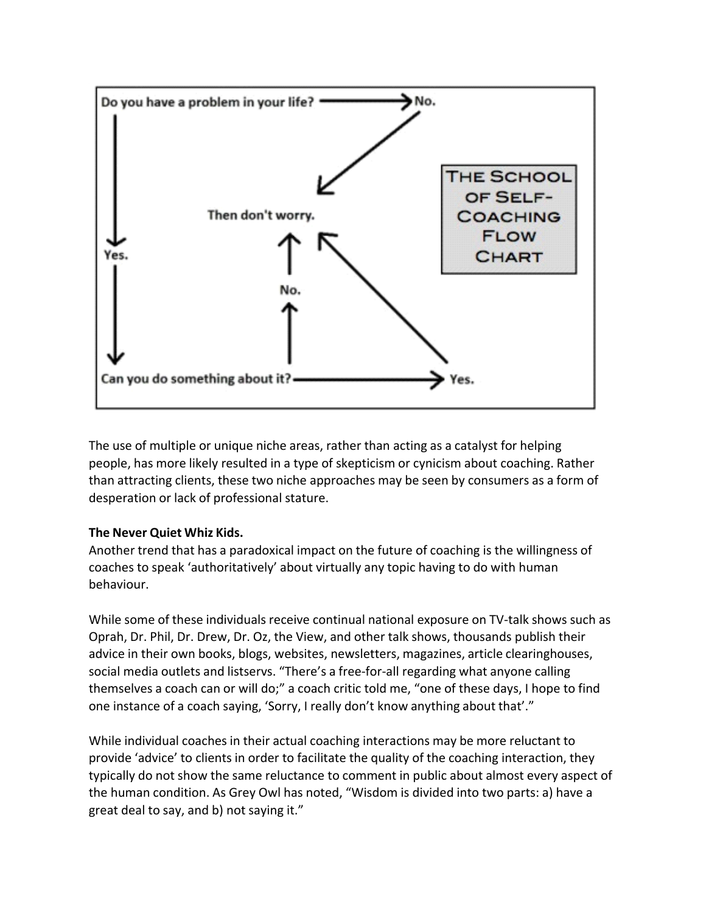

The use of multiple or unique niche areas, rather than acting as a catalyst for helping people, has more likely resulted in a type of skepticism or cynicism about coaching. Rather than attracting clients, these two niche approaches may be seen by consumers as a form of desperation or lack of professional stature.

## **The Never Quiet Whiz Kids.**

Another trend that has a paradoxical impact on the future of coaching is the willingness of coaches to speak 'authoritatively' about virtually any topic having to do with human behaviour.

While some of these individuals receive continual national exposure on TV-talk shows such as Oprah, Dr. Phil, Dr. Drew, Dr. Oz, the View, and other talk shows, thousands publish their advice in their own books, blogs, websites, newsletters, magazines, article clearinghouses, social media outlets and listservs. "There's a free-for-all regarding what anyone calling themselves a coach can or will do;" a coach critic told me, "one of these days, I hope to find one instance of a coach saying, 'Sorry, I really don't know anything about that'."

While individual coaches in their actual coaching interactions may be more reluctant to provide 'advice' to clients in order to facilitate the quality of the coaching interaction, they typically do not show the same reluctance to comment in public about almost every aspect of the human condition. As Grey Owl has noted, "Wisdom is divided into two parts: a) have a great deal to say, and b) not saying it."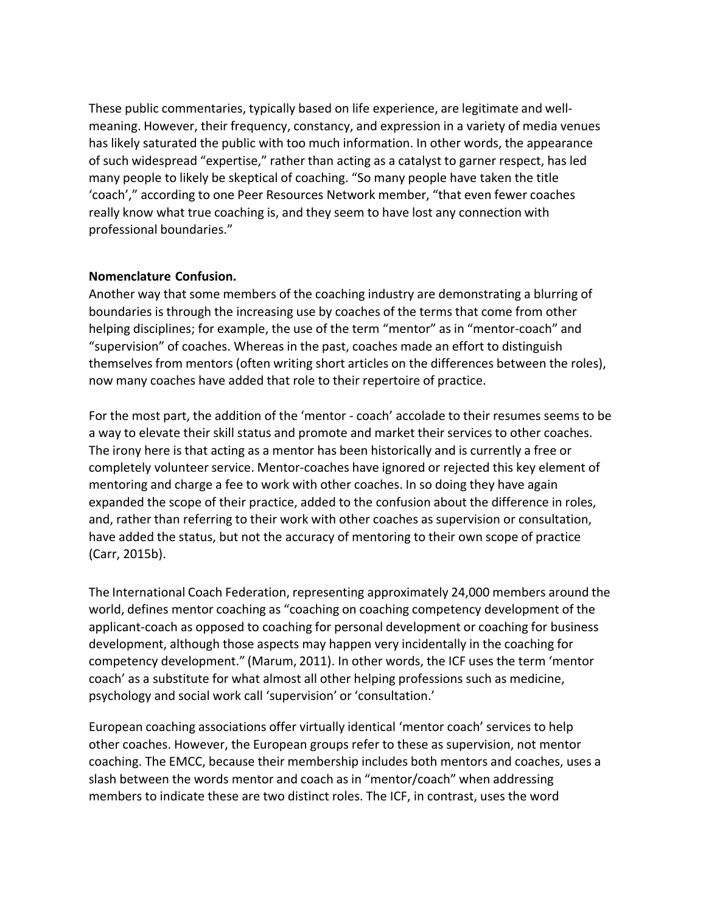These public commentaries, typically based on life experience, are legitimate and wellmeaning. However, their frequency, constancy, and expression in a variety of media venues has likely saturated the public with too much information. In other words, the appearance of such widespread "expertise," rather than acting as a catalyst to garner respect, has led many people to likely be skeptical of coaching. "So many people have taken the title 'coach'," according to one Peer Resources Network member, "that even fewer coaches really know what true coaching is, and they seem to have lost any connection with professional boundaries."

#### **Nomenclature Confusion.**

Another way that some members of the coaching industry are demonstrating a blurring of boundaries is through the increasing use by coaches of the terms that come from other helping disciplines; for example, the use of the term "mentor" as in "mentor-coach" and "supervision" of coaches. Whereas in the past, coaches made an effort to distinguish themselves from mentors (often writing short articles on the differences between the roles), now many coaches have added that role to their repertoire of practice.

For the most part, the addition of the 'mentor - coach' accolade to their resumes seems to be a way to elevate their skill status and promote and market their services to other coaches. The irony here is that acting as a mentor has been historically and is currently a free or completely volunteer service. Mentor-coaches have ignored or rejected this key element of mentoring and charge a fee to work with other coaches. In so doing they have again expanded the scope of their practice, added to the confusion about the difference in roles, and, rather than referring to their work with other coaches as supervision or consultation, have added the status, but not the accuracy of mentoring to their own scope of practice (Carr, 2015b).

The International Coach Federation, representing approximately 24,000 members around the world, defines mentor coaching as "coaching on coaching competency development of the applicant-coach as opposed to coaching for personal development or coaching for business development, although those aspects may happen very incidentally in the coaching for competency development." (Marum, 2011). In other words, the ICF uses the term 'mentor coach' as a substitute for what almost all other helping professions such as medicine, psychology and social work call 'supervision' or 'consultation.'

European coaching associations offer virtually identical 'mentor coach' services to help other coaches. However, the European groups refer to these as supervision, not mentor coaching. The EMCC, because their membership includes both mentors and coaches, uses a slash between the words mentor and coach as in "mentor/coach" when addressing members to indicate these are two distinct roles. The ICF, in contrast, uses the word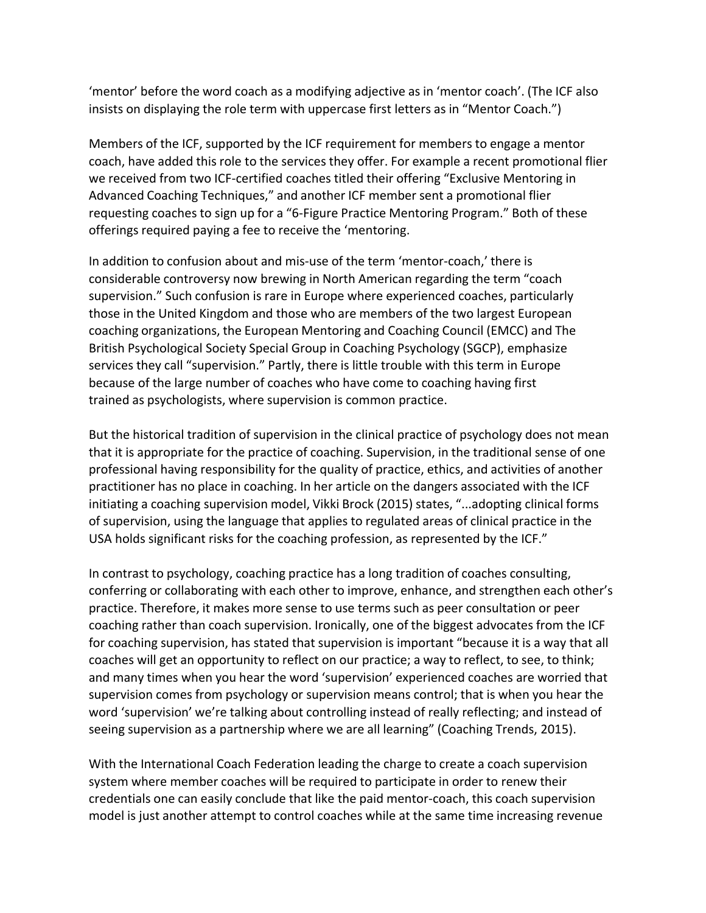'mentor' before the word coach as a modifying adjective as in 'mentor coach'. (The ICF also insists on displaying the role term with uppercase first letters as in "Mentor Coach.")

Members of the ICF, supported by the ICF requirement for members to engage a mentor coach, have added this role to the services they offer. For example a recent promotional flier we received from two ICF-certified coaches titled their offering "Exclusive Mentoring in Advanced Coaching Techniques," and another ICF member sent a promotional flier requesting coaches to sign up for a "6-Figure Practice Mentoring Program." Both of these offerings required paying a fee to receive the 'mentoring.

In addition to confusion about and mis-use of the term 'mentor-coach,' there is considerable controversy now brewing in North American regarding the term "coach supervision." Such confusion is rare in Europe where experienced coaches, particularly those in the United Kingdom and those who are members of the two largest European coaching organizations, the European Mentoring and Coaching Council (EMCC) and The British Psychological Society Special Group in Coaching Psychology (SGCP), emphasize services they call "supervision." Partly, there is little trouble with this term in Europe because of the large number of coaches who have come to coaching having first trained as psychologists, where supervision is common practice.

But the historical tradition of supervision in the clinical practice of psychology does not mean that it is appropriate for the practice of coaching. Supervision, in the traditional sense of one professional having responsibility for the quality of practice, ethics, and activities of another practitioner has no place in coaching. In her article on the dangers associated with the ICF initiating a coaching supervision model, Vikki Brock (2015) states, "...adopting clinical forms of supervision, using the language that applies to regulated areas of clinical practice in the USA holds significant risks for the coaching profession, as represented by the ICF."

In contrast to psychology, coaching practice has a long tradition of coaches consulting, conferring or collaborating with each other to improve, enhance, and strengthen each other's practice. Therefore, it makes more sense to use terms such as peer consultation or peer coaching rather than coach supervision. Ironically, one of the biggest advocates from the ICF for coaching supervision, has stated that supervision is important "because it is a way that all coaches will get an opportunity to reflect on our practice; a way to reflect, to see, to think; and many times when you hear the word 'supervision' experienced coaches are worried that supervision comes from psychology or supervision means control; that is when you hear the word 'supervision' we're talking about controlling instead of really reflecting; and instead of seeing supervision as a partnership where we are all learning" (Coaching Trends, 2015).

With the International Coach Federation leading the charge to create a coach supervision system where member coaches will be required to participate in order to renew their credentials one can easily conclude that like the paid mentor-coach, this coach supervision model is just another attempt to control coaches while at the same time increasing revenue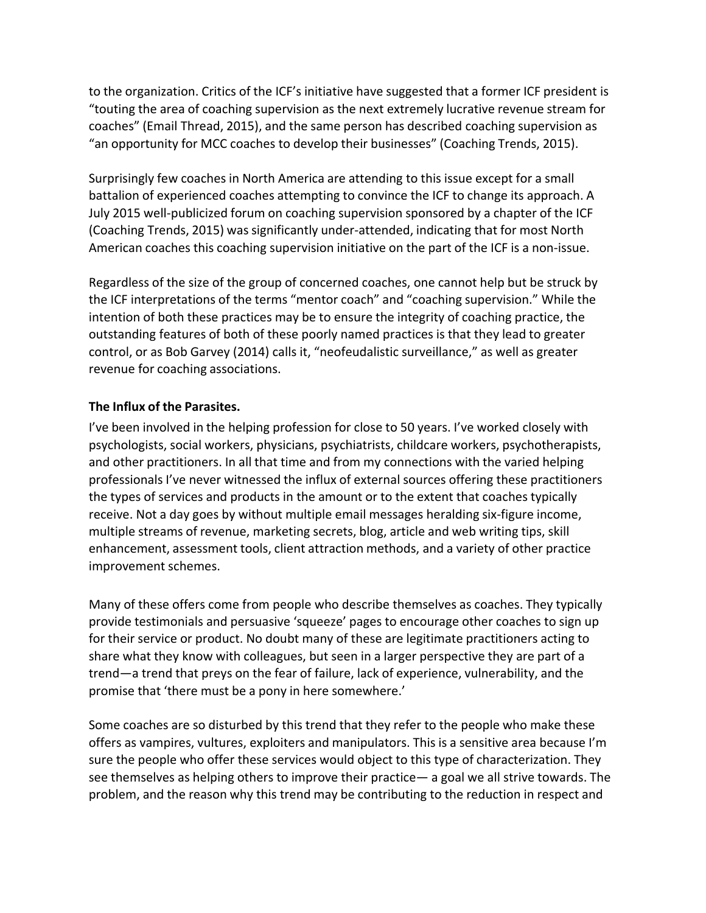to the organization. Critics of the ICF's initiative have suggested that a former ICF president is "touting the area of coaching supervision as the next extremely lucrative revenue stream for coaches" (Email Thread, 2015), and the same person has described coaching supervision as "an opportunity for MCC coaches to develop their businesses" (Coaching Trends, 2015).

Surprisingly few coaches in North America are attending to this issue except for a small battalion of experienced coaches attempting to convince the ICF to change its approach. A July 2015 well-publicized forum on coaching supervision sponsored by a chapter of the ICF (Coaching Trends, 2015) wassignificantly under-attended, indicating that for most North American coaches this coaching supervision initiative on the part of the ICF is a non-issue.

Regardless of the size of the group of concerned coaches, one cannot help but be struck by the ICF interpretations of the terms "mentor coach" and "coaching supervision." While the intention of both these practices may be to ensure the integrity of coaching practice, the outstanding features of both of these poorly named practices is that they lead to greater control, or as Bob Garvey (2014) calls it, "neofeudalistic surveillance," as well as greater revenue for coaching associations.

#### **The Influx of the Parasites.**

I've been involved in the helping profession for close to 50 years. I've worked closely with psychologists, social workers, physicians, psychiatrists, childcare workers, psychotherapists, and other practitioners. In all that time and from my connections with the varied helping professionals I've never witnessed the influx of external sources offering these practitioners the types of services and products in the amount or to the extent that coaches typically receive. Not a day goes by without multiple email messages heralding six-figure income, multiple streams of revenue, marketing secrets, blog, article and web writing tips, skill enhancement, assessment tools, client attraction methods, and a variety of other practice improvement schemes.

Many of these offers come from people who describe themselves as coaches. They typically provide testimonials and persuasive 'squeeze' pages to encourage other coaches to sign up for their service or product. No doubt many of these are legitimate practitioners acting to share what they know with colleagues, but seen in a larger perspective they are part of a trend—a trend that preys on the fear of failure, lack of experience, vulnerability, and the promise that 'there must be a pony in here somewhere.'

Some coaches are so disturbed by this trend that they refer to the people who make these offers as vampires, vultures, exploiters and manipulators. This is a sensitive area because I'm sure the people who offer these services would object to this type of characterization. They see themselves as helping others to improve their practice— a goal we all strive towards. The problem, and the reason why this trend may be contributing to the reduction in respect and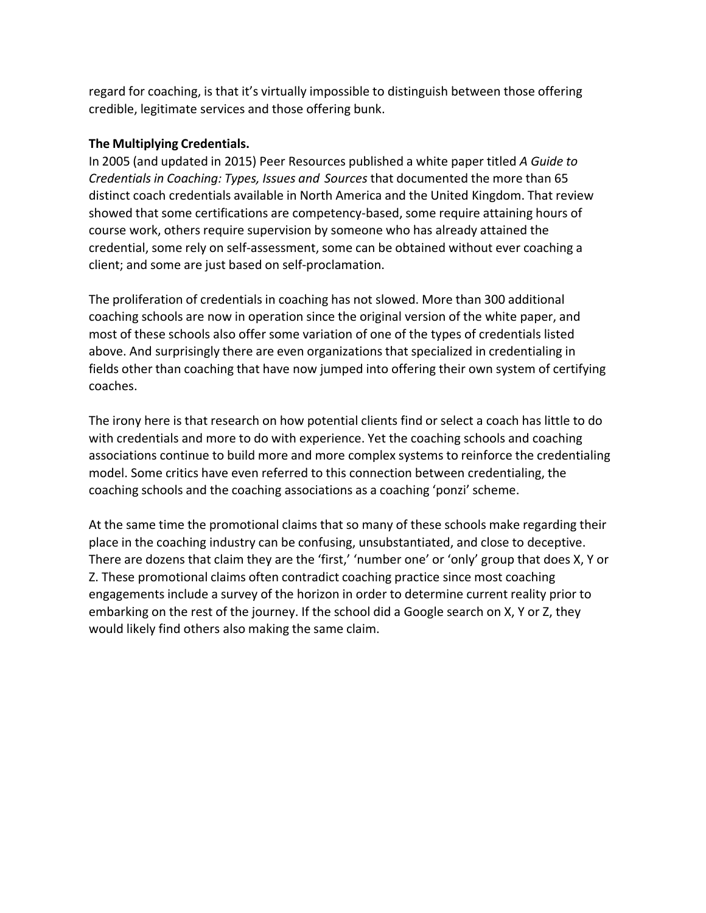regard for coaching, is that it's virtually impossible to distinguish between those offering credible, legitimate services and those offering bunk.

### **The Multiplying Credentials.**

In 2005 (and updated in 2015) Peer Resources published a white paper titled *A Guide to Credentials in Coaching: Types, Issues and Sources* that documented the more than 65 distinct coach credentials available in North America and the United Kingdom. That review showed that some certifications are competency-based, some require attaining hours of course work, others require supervision by someone who has already attained the credential, some rely on self-assessment, some can be obtained without ever coaching a client; and some are just based on self-proclamation.

The proliferation of credentials in coaching has not slowed. More than 300 additional coaching schools are now in operation since the original version of the white paper, and most of these schools also offer some variation of one of the types of credentials listed above. And surprisingly there are even organizations that specialized in credentialing in fields other than coaching that have now jumped into offering their own system of certifying coaches.

The irony here is that research on how potential clients find or select a coach has little to do with credentials and more to do with experience. Yet the coaching schools and coaching associations continue to build more and more complex systems to reinforce the credentialing model. Some critics have even referred to this connection between credentialing, the coaching schools and the coaching associations as a coaching 'ponzi' scheme.

At the same time the promotional claims that so many of these schools make regarding their place in the coaching industry can be confusing, unsubstantiated, and close to deceptive. There are dozens that claim they are the 'first,' 'number one' or 'only' group that does X, Y or Z. These promotional claims often contradict coaching practice since most coaching engagements include a survey of the horizon in order to determine current reality prior to embarking on the rest of the journey. If the school did a Google search on X, Y or Z, they would likely find others also making the same claim.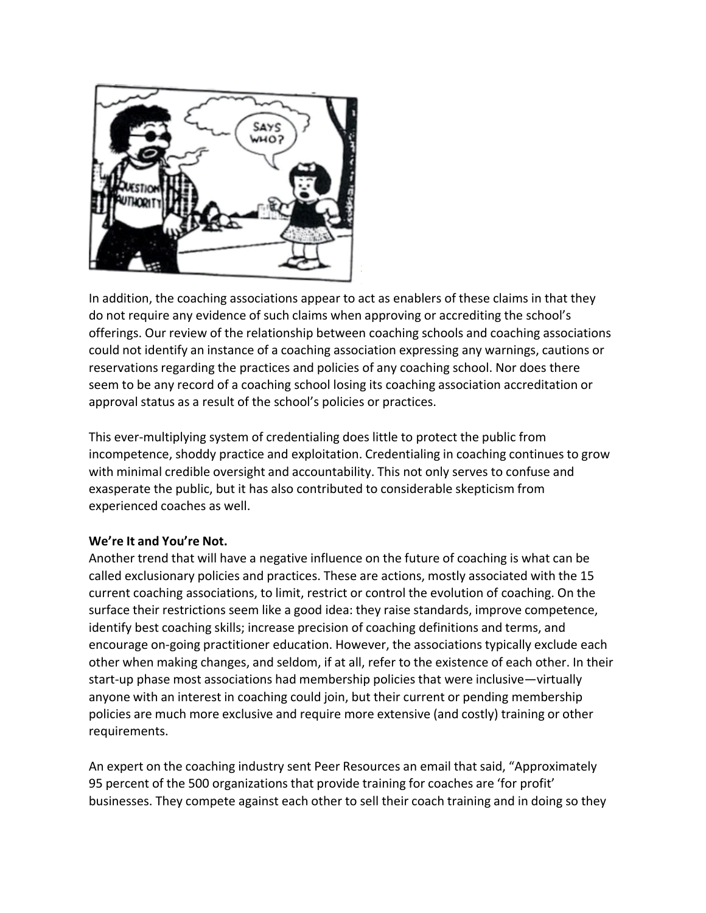

In addition, the coaching associations appear to act as enablers of these claims in that they do not require any evidence of such claims when approving or accrediting the school's offerings. Our review of the relationship between coaching schools and coaching associations could not identify an instance of a coaching association expressing any warnings, cautions or reservations regarding the practices and policies of any coaching school. Nor does there seem to be any record of a coaching school losing its coaching association accreditation or approval status as a result of the school's policies or practices.

This ever-multiplying system of credentialing does little to protect the public from incompetence, shoddy practice and exploitation. Credentialing in coaching continues to grow with minimal credible oversight and accountability. This not only serves to confuse and exasperate the public, but it has also contributed to considerable skepticism from experienced coaches as well.

## **We're It and You're Not.**

Another trend that will have a negative influence on the future of coaching is what can be called exclusionary policies and practices. These are actions, mostly associated with the 15 current coaching associations, to limit, restrict or control the evolution of coaching. On the surface their restrictions seem like a good idea: they raise standards, improve competence, identify best coaching skills; increase precision of coaching definitions and terms, and encourage on-going practitioner education. However, the associations typically exclude each other when making changes, and seldom, if at all, refer to the existence of each other. In their start-up phase most associations had membership policies that were inclusive—virtually anyone with an interest in coaching could join, but their current or pending membership policies are much more exclusive and require more extensive (and costly) training or other requirements.

An expert on the coaching industry sent Peer Resources an email that said, "Approximately 95 percent of the 500 organizations that provide training for coaches are 'for profit' businesses. They compete against each other to sell their coach training and in doing so they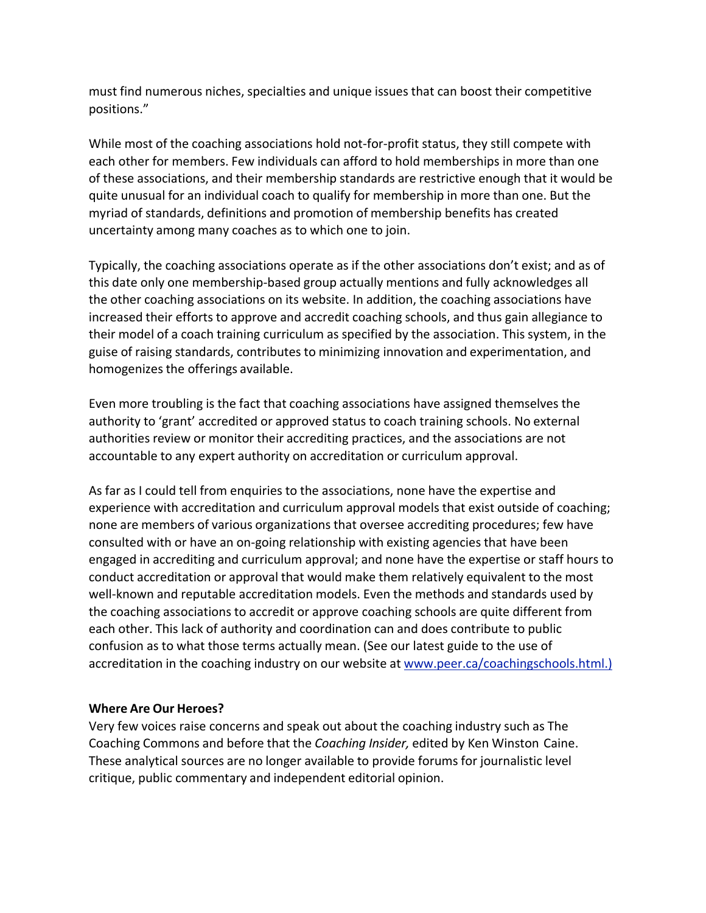must find numerous niches, specialties and unique issues that can boost their competitive positions."

While most of the coaching associations hold not-for-profit status, they still compete with each other for members. Few individuals can afford to hold memberships in more than one of these associations, and their membership standards are restrictive enough that it would be quite unusual for an individual coach to qualify for membership in more than one. But the myriad of standards, definitions and promotion of membership benefits has created uncertainty among many coaches as to which one to join.

Typically, the coaching associations operate as if the other associations don't exist; and as of this date only one membership-based group actually mentions and fully acknowledges all the other coaching associations on its website. In addition, the coaching associations have increased their efforts to approve and accredit coaching schools, and thus gain allegiance to their model of a coach training curriculum as specified by the association. This system, in the guise of raising standards, contributes to minimizing innovation and experimentation, and homogenizes the offerings available.

Even more troubling is the fact that coaching associations have assigned themselves the authority to 'grant' accredited or approved status to coach training schools. No external authorities review or monitor their accrediting practices, and the associations are not accountable to any expert authority on accreditation or curriculum approval.

As far as I could tell from enquiries to the associations, none have the expertise and experience with accreditation and curriculum approval models that exist outside of coaching; none are members of various organizations that oversee accrediting procedures; few have consulted with or have an on-going relationship with existing agencies that have been engaged in accrediting and curriculum approval; and none have the expertise or staff hours to conduct accreditation or approval that would make them relatively equivalent to the most well-known and reputable accreditation models. Even the methods and standards used by the coaching associations to accredit or approve coaching schools are quite different from each other. This lack of authority and coordination can and does contribute to public confusion as to what those terms actually mean. (See our latest guide to the use of accreditation in the coaching industry on our website at [www.peer.ca/c](http://www.peer.ca/)oachingschools.html.)

#### **Where Are Our Heroes?**

Very few voices raise concerns and speak out about the coaching industry such as The Coaching Commons and before that the *Coaching Insider,* edited by Ken Winston Caine. These analytical sources are no longer available to provide forums for journalistic level critique, public commentary and independent editorial opinion.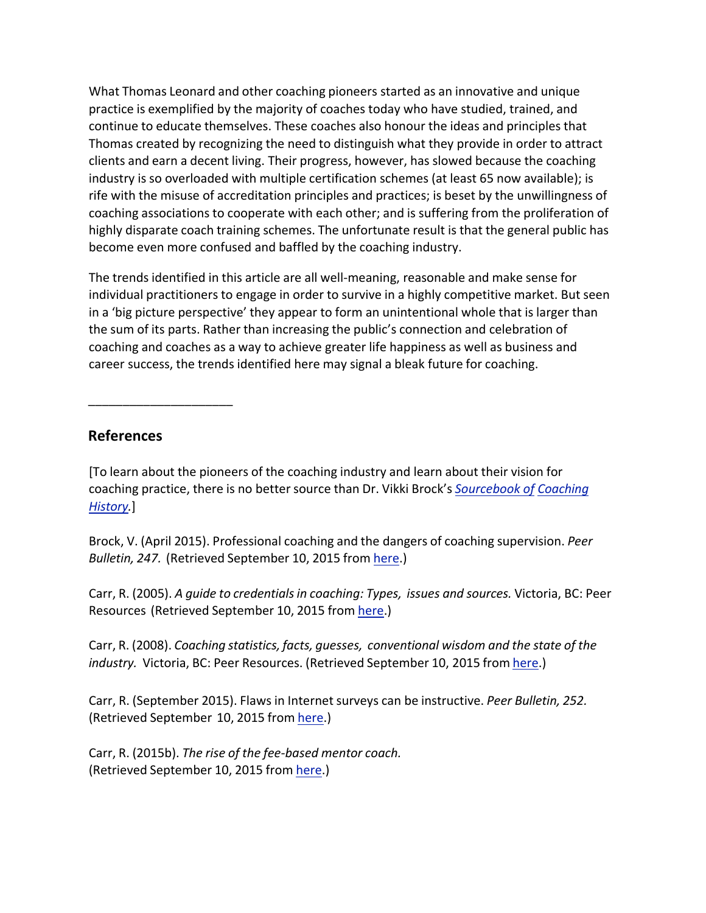What Thomas Leonard and other coaching pioneers started as an innovative and unique practice is exemplified by the majority of coaches today who have studied, trained, and continue to educate themselves. These coaches also honour the ideas and principles that Thomas created by recognizing the need to distinguish what they provide in order to attract clients and earn a decent living. Their progress, however, has slowed because the coaching industry is so overloaded with multiple certification schemes (at least 65 now available); is rife with the misuse of accreditation principles and practices; is beset by the unwillingness of coaching associations to cooperate with each other; and is suffering from the proliferation of highly disparate coach training schemes. The unfortunate result is that the general public has become even more confused and baffled by the coaching industry.

The trends identified in this article are all well-meaning, reasonable and make sense for individual practitioners to engage in order to survive in a highly competitive market. But seen in a 'big picture perspective' they appear to form an unintentional whole that is larger than the sum of its parts. Rather than increasing the public's connection and celebration of coaching and coaches as a way to achieve greater life happiness as well as business and career success, the trends identified here may signal a bleak future for coaching.

## **References**

\_\_\_\_\_\_\_\_\_\_\_\_\_\_\_\_\_\_\_\_\_

[To learn about the pioneers of the coaching industry and learn about their vision for coaching practice, there is no better source than Dr. Vikki Brock's *Sourcebook of Coaching History.*]

Brock, V. (April 2015). Professional coaching and the dangers of coaching supervision. *Peer Bulletin, 247.* (Retrieved September 10, 2015 from here.)

Carr, R. (2005). *A guide to credentialsin coaching: Types, issues and sources.* Victoria, BC: Peer Resources (Retrieved September 10, 2015 from here.)

Carr, R. (2008). *Coaching statistics, facts, guesses, conventional wisdom and the state of the industry.* Victoria, BC: Peer Resources. (Retrieved September 10, 2015 from here.)

Carr, R. (September 2015). Flaws in Internet surveys can be instructive. *Peer Bulletin, 252.* (Retrieved September 10, 2015 from here.)

Carr, R. (2015b). *The rise of the fee-based mentor coach.* (Retrieved September 10, 2015 from here.)